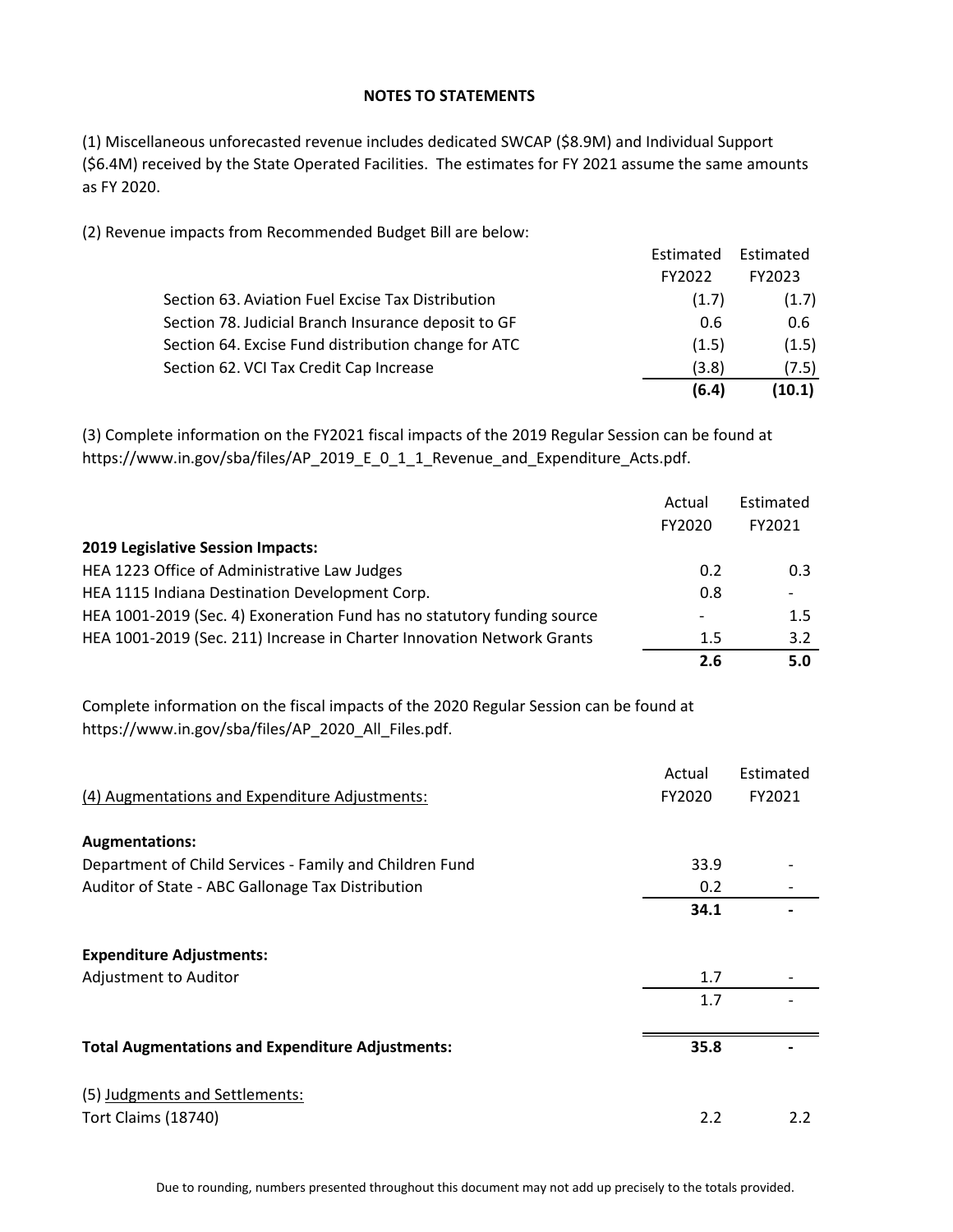## **NOTES TO STATEMENTS**

(1) Miscellaneous unforecasted revenue includes dedicated SWCAP (\$8.9M) and Individual Support (\$6.4M) received by the State Operated Facilities. The estimates for FY 2021 assume the same amounts as FY 2020.

(2) Revenue impacts from Recommended Budget Bill are below:

|                                                     | (6.4)     | (10.1)    |
|-----------------------------------------------------|-----------|-----------|
| Section 62. VCI Tax Credit Cap Increase             | (3.8)     | (7.5)     |
| Section 64. Excise Fund distribution change for ATC | (1.5)     | (1.5)     |
| Section 78. Judicial Branch Insurance deposit to GF | 0.6       | 0.6       |
| Section 63. Aviation Fuel Excise Tax Distribution   | (1.7)     | (1.7)     |
|                                                     | FY2022    | FY2023    |
|                                                     | Estimated | Estimated |

(3) Complete information on the FY2021 fiscal impacts of the 2019 Regular Session can be found at https://www.in.gov/sba/files/AP\_2019\_E\_0\_1\_1\_Revenue\_and\_Expenditure\_Acts.pdf.

|                                                                         | Actual | Estimated |
|-------------------------------------------------------------------------|--------|-----------|
|                                                                         | FY2020 | FY2021    |
| 2019 Legislative Session Impacts:                                       |        |           |
| HEA 1223 Office of Administrative Law Judges                            | 0.2    | 0.3       |
| HEA 1115 Indiana Destination Development Corp.                          | 0.8    |           |
| HEA 1001-2019 (Sec. 4) Exoneration Fund has no statutory funding source |        | 1.5       |
| HEA 1001-2019 (Sec. 211) Increase in Charter Innovation Network Grants  | 1.5    | 3.2       |
|                                                                         | 2.6    | 5.0       |

Complete information on the fiscal impacts of the 2020 Regular Session can be found at https://www.in.gov/sba/files/AP\_2020\_All\_Files.pdf.

| (4) Augmentations and Expenditure Adjustments:          | Actual<br>FY2020 | Estimated<br>FY2021 |
|---------------------------------------------------------|------------------|---------------------|
| <b>Augmentations:</b>                                   |                  |                     |
| Department of Child Services - Family and Children Fund | 33.9             |                     |
| Auditor of State - ABC Gallonage Tax Distribution       | 0.2              |                     |
|                                                         | 34.1             |                     |
| <b>Expenditure Adjustments:</b>                         |                  |                     |
| Adjustment to Auditor                                   | 1.7              |                     |
|                                                         | 1.7              |                     |
| <b>Total Augmentations and Expenditure Adjustments:</b> | 35.8             |                     |
| (5) Judgments and Settlements:                          |                  |                     |
| <b>Tort Claims (18740)</b>                              | 2.2              | 2.2                 |